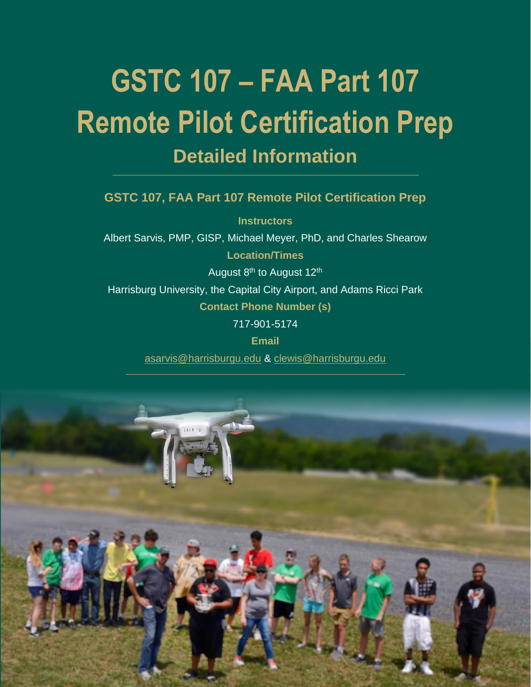# **GSTC 107 – FAA Part 107 Remote Pilot Certification Prep Detailed Information**

## **GSTC 107, FAA Part 107 Remote Pilot Certification Prep**

**Instructors** Albert Sarvis, PMP, GISP, Michael Meyer, PhD, and Charles Shearow **Location/Times** August 8<sup>th</sup> to August 12<sup>th</sup> Harrisburg University, the Capital City Airport, and Adams Ricci Park **Contact Phone Number (s)** 717-901-5174 **Email**

[asarvis@harrisburgu.edu](mailto:asarvis@harrisburgu.edu) & [clewis@harrisburgu.edu](mailto:clewis@harrisburgu.edu)

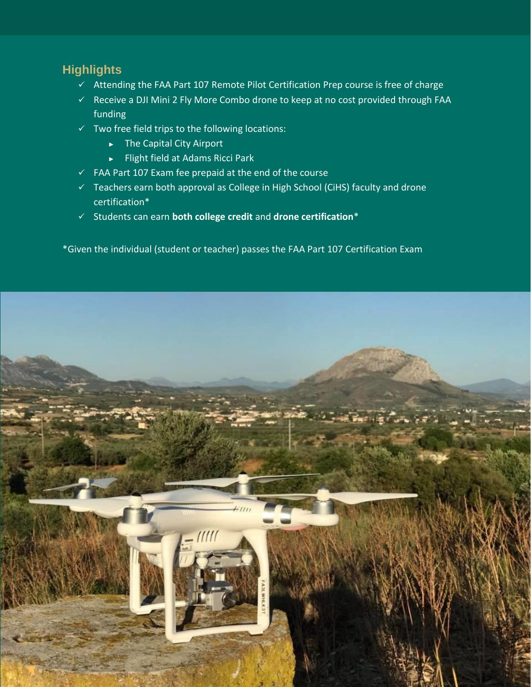# **Highlights**

- ✓ Attending the FAA Part 107 Remote Pilot Certification Prep course is free of charge
- ✓ Receive a DJI Mini 2 Fly More Combo drone to keep at no cost provided through FAA funding
- $\checkmark$  Two free field trips to the following locations:
	- ► The Capital City Airport
	- ► Flight field at Adams Ricci Park
- ✓ FAA Part 107 Exam fee prepaid at the end of the course
- ✓ Teachers earn both approval as College in High School (CiHS) faculty and drone certification\*
- ✓ Students can earn **both college credit** and **drone certification**\*

\*Given the individual (student or teacher) passes the FAA Part 107 Certification Exam

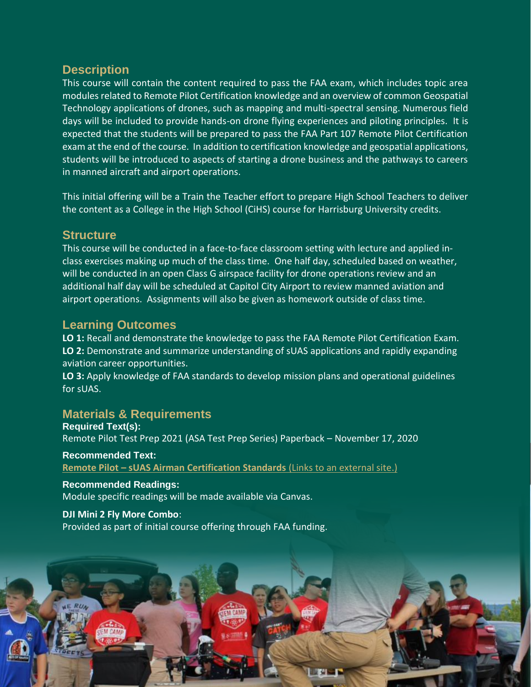## **Description**

This course will contain the content required to pass the FAA exam, which includes topic area modules related to Remote Pilot Certification knowledge and an overview of common Geospatial Technology applications of drones, such as mapping and multi-spectral sensing. Numerous field days will be included to provide hands-on drone flying experiences and piloting principles. It is expected that the students will be prepared to pass the FAA Part 107 Remote Pilot Certification exam at the end of the course. In addition to certification knowledge and geospatial applications, students will be introduced to aspects of starting a drone business and the pathways to careers in manned aircraft and airport operations.

This initial offering will be a Train the Teacher effort to prepare High School Teachers to deliver the content as a College in the High School (CiHS) course for Harrisburg University credits.

#### **Structure**

This course will be conducted in a face-to-face classroom setting with lecture and applied inclass exercises making up much of the class time. One half day, scheduled based on weather, will be conducted in an open Class G airspace facility for drone operations review and an additional half day will be scheduled at Capitol City Airport to review manned aviation and airport operations. Assignments will also be given as homework outside of class time.

## **Learning Outcomes**

**LO 1:** Recall and demonstrate the knowledge to pass the FAA Remote Pilot Certification Exam. **LO 2:** Demonstrate and summarize understanding of sUAS applications and rapidly expanding aviation career opportunities.

**LO 3:** Apply knowledge of FAA standards to develop mission plans and operational guidelines for sUAS.

## **Materials & Requirements**

**Required Text(s):** Remote Pilot Test Prep 2021 (ASA Test Prep Series) Paperback – November 17, 2020

**Recommended Text: Remote Pilot – [sUAS Airman Certification Standards](https://www.faa.gov/training_testing/testing/acs/) (Links to an external site.)** 

**Recommended Readings:** Module specific readings will be made available via Canvas.

**DJI Mini 2 Fly More Combo**: Provided as part of initial course offering through FAA funding.